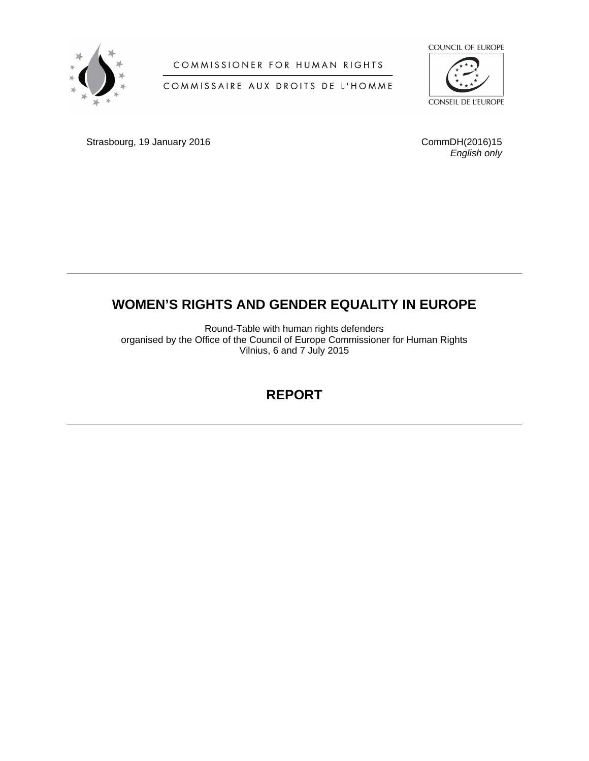

## COMMISSIONER FOR HUMAN RIGHTS

## COMMISSAIRE AUX DROITS DE L'HOMME



Strasbourg, 19 January 2016 **CommDH**(2016)15

*English only*

# **WOMEN'S RIGHTS AND GENDER EQUALITY IN EUROPE**

Round-Table with human rights defenders organised by the Office of the Council of Europe Commissioner for Human Rights Vilnius, 6 and 7 July 2015

# **REPORT**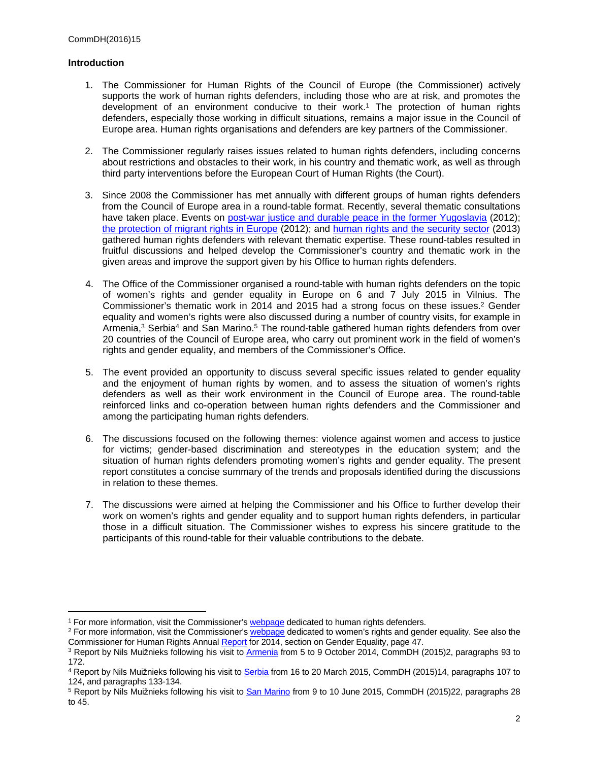## **Introduction**

- 1. The Commissioner for Human Rights of the Council of Europe (the Commissioner) actively supports the work of human rights defenders, including those who are at risk, and promotes the development of an environment conducive to their work.<sup>1</sup> The protection of human rights defenders, especially those working in difficult situations, remains a major issue in the Council of Europe area. Human rights organisations and defenders are key partners of the Commissioner.
- 2. The Commissioner regularly raises issues related to human rights defenders, including concerns about restrictions and obstacles to their work, in his country and thematic work, as well as through third party interventions before the European Court of Human Rights (the Court).
- 3. Since 2008 the Commissioner has met annually with different groups of human rights defenders from the Council of Europe area in a round-table format. Recently, several thematic consultations have taken place. Events on [post-war justice and durable peace in the former Yugoslavia](https://wcd.coe.int/ViewDoc.jsp?id=1998891) (2012); [the protection of migrant rights in Europe](https://wcd.coe.int/com.instranet.InstraServlet?command=com.instranet.CmdBlobGet&InstranetImage=2844715&SecMode=1&DocId=2049674&Usage=2) (2012); and [human rights and the security sector](https://wcd.coe.int/com.instranet.InstraServlet?command=com.instranet.CmdBlobGet&InstranetImage=2863399&SecMode=1&DocId=2342108&Usage=2) (2013) gathered human rights defenders with relevant thematic expertise. These round-tables resulted in fruitful discussions and helped develop the Commissioner's country and thematic work in the given areas and improve the support given by his Office to human rights defenders.
- 4. The Office of the Commissioner organised a round-table with human rights defenders on the topic of women's rights and gender equality in Europe on 6 and 7 July 2015 in Vilnius. The Commissioner's thematic work in 2014 and 2015 had a strong focus on these issues.<sup>2</sup> Gender equality and women's rights were also discussed during a number of country visits, for example in Armenia,<sup>3</sup> Serbia<sup>4</sup> and San Marino.<sup>5</sup> The round-table gathered human rights defenders from over 20 countries of the Council of Europe area, who carry out prominent work in the field of women's rights and gender equality, and members of the Commissioner's Office.
- 5. The event provided an opportunity to discuss several specific issues related to gender equality and the enjoyment of human rights by women, and to assess the situation of women's rights defenders as well as their work environment in the Council of Europe area. The round-table reinforced links and co-operation between human rights defenders and the Commissioner and among the participating human rights defenders.
- 6. The discussions focused on the following themes: violence against women and access to justice for victims; gender-based discrimination and stereotypes in the education system; and the situation of human rights defenders promoting women's rights and gender equality. The present report constitutes a concise summary of the trends and proposals identified during the discussions in relation to these themes.
- 7. The discussions were aimed at helping the Commissioner and his Office to further develop their work on women's rights and gender equality and to support human rights defenders, in particular those in a difficult situation. The Commissioner wishes to express his sincere gratitude to the participants of this round-table for their valuable contributions to the debate.

<sup>&</sup>lt;sup>1</sup> For more information, visit the Commissioner's **[webpage](http://www.coe.int/en/web/commissioner/human-rights-defenders) dedicated to human rights defenders.** 

<sup>&</sup>lt;sup>2</sup> For more information, visit the Commissioner's [webpage](http://www.coe.int/en/web/commissioner/home) dedicated to women's rights and gender equality. See also the Commissioner for Human Rights Annual [Report](https://wcd.coe.int/com.instranet.InstraServlet?command=com.instranet.CmdBlobGet&InstranetImage=2839693&SecMode=1&DocId=2252924&Usage=2) for 2014, section on Gender Equality, page 47.

<sup>&</sup>lt;sup>3</sup> Report by Nils Muižnieks following his visit to [Armenia](https://wcd.coe.int/com.instranet.InstraServlet?Index=no&command=com.instranet.CmdBlobGet&InstranetImage=2790589&SecMode=1&DocId=2243332&Usage=2) from 5 to 9 October 2014, CommDH (2015)2, paragraphs 93 to 172.

<sup>&</sup>lt;sup>4</sup> Report by Nils Muižnieks following his visit to <u>[Serbia](https://wcd.coe.int/com.instranet.InstraServlet?command=com.instranet.CmdBlobGet&InstranetImage=2798638&SecMode=1&DocId=2302808&Usage=2)</u> from 16 to 20 March 2015, CommDH (2015)14, paragraphs 107 to 124, and paragraphs 133-134.

<sup>&</sup>lt;sup>5</sup> Report by Nils Muižnieks following his visit to <u>San Marino</u> from 9 to 10 June 2015, CommDH (2015)22, paragraphs 28 to 45.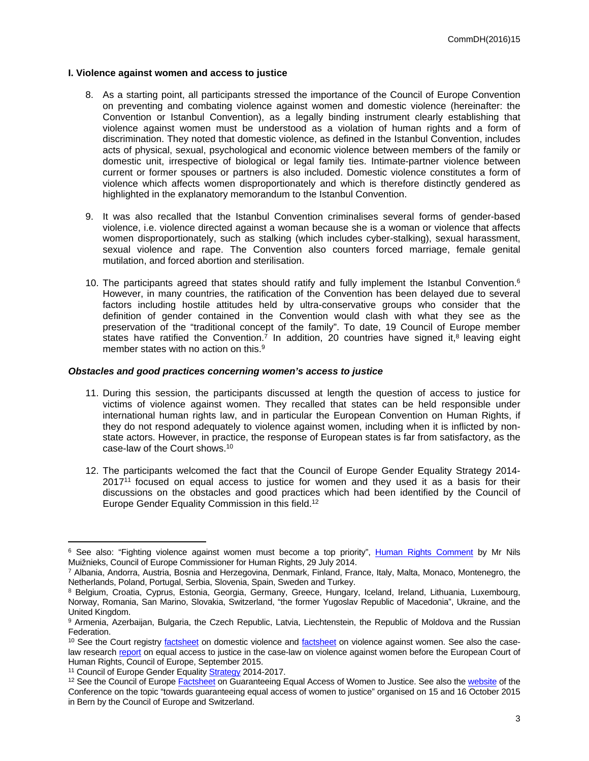#### **I. Violence against women and access to justice**

- 8. As a starting point, all participants stressed the importance of the Council of Europe Convention on preventing and combating violence against women and domestic violence (hereinafter: the Convention or Istanbul Convention), as a legally binding instrument clearly establishing that violence against women must be understood as a violation of human rights and a form of discrimination. They noted that domestic violence, as defined in the Istanbul Convention, includes acts of physical, sexual, psychological and economic violence between members of the family or domestic unit, irrespective of biological or legal family ties. Intimate-partner violence between current or former spouses or partners is also included. Domestic violence constitutes a form of violence which affects women disproportionately and which is therefore distinctly gendered as highlighted in the explanatory memorandum to the Istanbul Convention.
- 9. It was also recalled that the Istanbul Convention criminalises several forms of gender-based violence, i.e. violence directed against a woman because she is a woman or violence that affects women disproportionately, such as stalking (which includes cyber-stalking), sexual harassment, sexual violence and rape. The Convention also counters forced marriage, female genital mutilation, and forced abortion and sterilisation.
- 10. The participants agreed that states should ratify and fully implement the Istanbul Convention.<sup>6</sup> However, in many countries, the ratification of the Convention has been delayed due to several factors including hostile attitudes held by ultra-conservative groups who consider that the definition of gender contained in the Convention would clash with what they see as the preservation of the "traditional concept of the family". To date, 19 Council of Europe member states have [ratified](http://www.conventions.coe.int/Treaty/Commun/ChercheSig.asp?NT=210&CM=&DF=&CL=ENG) the Convention.<sup>7</sup> In addition, 20 countries have signed it,<sup>8</sup> leaving eight member states with no action on this.<sup>9</sup>

#### *Obstacles and good practices concerning women's access to justice*

- 11. During this session, the participants discussed at length the question of access to justice for victims of violence against women. They recalled that states can be held responsible under international human rights law, and in particular the European Convention on Human Rights, if they do not respond adequately to violence against women, including when it is inflicted by nonstate actors. However, in practice, the response of European states is far from satisfactory, as the [case-law](http://www.echr.coe.int/Documents/FS_Domestic_violence_ENG.pdf) of the Court shows.<sup>10</sup>
- 12. The participants welcomed the fact that the Council of Europe Gender Equality Strategy 2014-  $2017<sup>11</sup>$  focused on equal access to justice for women and they used it as a basis for their discussions on the obstacles and good practices which had been identified by the Council of Europe Gender Equality Commission in this field.<sup>12</sup>

<sup>&</sup>lt;sup>6</sup> See also: "Fighting violence against women must become a top priority", [Human Rights Comment](http://www.coe.int/en/web/commissioner/-/fighting-violence-against-women-must-become-a-top-priority?inheritRedirect=true&redirect=%2Fen%2Fweb%2Fcommissioner%2Fblog-2014) by Mr Nils Muižnieks, Council of Europe Commissioner for Human Rights, 29 July 2014.

<sup>7</sup> Albania, Andorra, Austria, Bosnia and Herzegovina, Denmark, Finland, France, Italy, Malta, Monaco, Montenegro, the Netherlands, Poland, Portugal, Serbia, Slovenia, Spain, Sweden and Turkey.

<sup>&</sup>lt;sup>8</sup> Belgium, Croatia, Cyprus, Estonia, Georgia, Germany, Greece, Hungary, Iceland, Ireland, Lithuania, Luxembourg, Norway, Romania, San Marino, Slovakia, Switzerland, "the former Yugoslav Republic of Macedonia", Ukraine, and the United Kingdom.

<sup>&</sup>lt;sup>9</sup> Armenia, Azerbaijan, Bulgaria, the Czech Republic, Latvia, Liechtenstein, the Republic of Moldova and the Russian **Federation** 

<sup>&</sup>lt;sup>10</sup> See the Court registry [factsheet](http://www.echr.coe.int/Documents/FS_Violence_Woman_ENG.pdf) on domestic violence and factsheet on violence against women. See also the caselaw research [report](https://www.coe.int/t/DGHL/STANDARDSETTING/EQUALITY/03themes/access_to_justice/Court%20doc%20eng.pdf) on equal access to justice in the case-law on violence against women before the European Court of Human Rights, Council of Europe, September 2015.

<sup>&</sup>lt;sup>11</sup> Council of Europe Gender Equality **Strategy 2014-2017.** 

<sup>&</sup>lt;sup>12</sup> See the Council of Europe [Factsheet](http://www.coe.int/t/dghl/standardsetting/equality/03themes/access_to_justice/Factsheet%20A2J%20Jan%202015%20English.pdf) on Guaranteeing Equal Access of Women to Justice. See also the [website](http://www.coe.int/t/dghl/standardsetting/equality/05conferences/2015_BerneConfAccessJustice/default_en.asp) of the Conference on the topic "towards guaranteeing equal access of women to justice" organised on 15 and 16 October 2015 in Bern by the Council of Europe and Switzerland.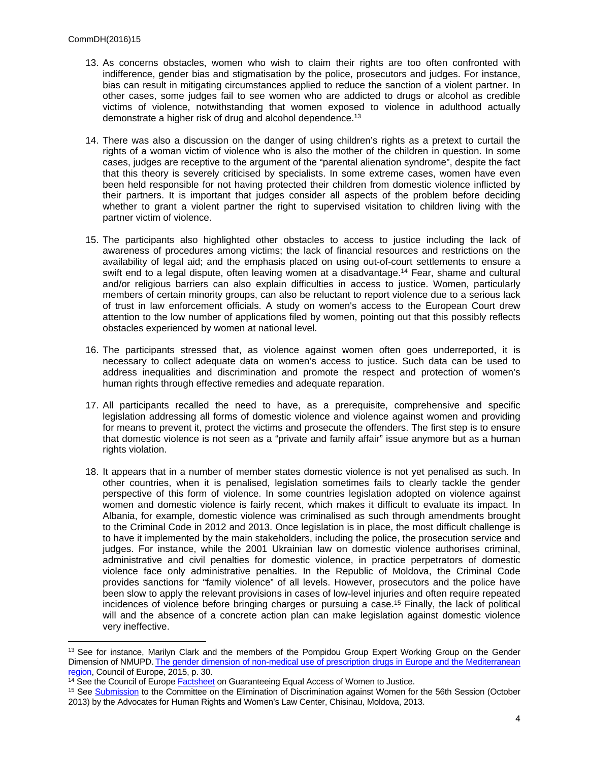- 13. As concerns obstacles, women who wish to claim their rights are too often confronted with indifference, gender bias and stigmatisation by the police, prosecutors and judges. For instance, bias can result in mitigating circumstances applied to reduce the sanction of a violent partner. In other cases, some judges fail to see women who are addicted to drugs or alcohol as credible victims of violence, notwithstanding that women exposed to violence in adulthood actually demonstrate a higher risk of drug and alcohol dependence.<sup>13</sup>
- 14. There was also a discussion on the danger of using children's rights as a pretext to curtail the rights of a woman victim of violence who is also the mother of the children in question. In some cases, judges are receptive to the argument of the "parental alienation syndrome", despite the fact that this theory is severely criticised by specialists. In some extreme cases, women have even been held responsible for not having protected their children from domestic violence inflicted by their partners. It is important that judges consider all aspects of the problem before deciding whether to grant a violent partner the right to supervised visitation to children living with the partner victim of violence.
- 15. The participants also highlighted other obstacles to access to justice including the lack of awareness of procedures among victims; the lack of financial resources and restrictions on the availability of legal aid; and the emphasis placed on using out-of-court settlements to ensure a swift end to a legal dispute, often leaving women at a disadvantage.<sup>14</sup> Fear, shame and cultural and/or religious barriers can also explain difficulties in access to justice. Women, particularly members of certain minority groups, can also be reluctant to report violence due to a serious lack of trust in law enforcement officials. A study on women's access to the European Court drew attention to the low number of applications filed by women, pointing out that this possibly reflects obstacles experienced by women at national level.
- 16. The participants stressed that, as violence against women often goes underreported, it is necessary to collect adequate data on women's access to justice. Such data can be used to address inequalities and discrimination and promote the respect and protection of women's human rights through effective remedies and adequate reparation.
- 17. All participants recalled the need to have, as a prerequisite, comprehensive and specific legislation addressing all forms of domestic violence and violence against women and providing for means to prevent it, protect the victims and prosecute the offenders. The first step is to ensure that domestic violence is not seen as a "private and family affair" issue anymore but as a human rights violation.
- 18. It appears that in a number of member states domestic violence is not yet penalised as such. In other countries, when it is penalised, legislation sometimes fails to clearly tackle the gender perspective of this form of violence. In some countries legislation adopted on violence against women and domestic violence is fairly recent, which makes it difficult to evaluate its impact. In Albania, for example, domestic violence was criminalised as such through amendments brought to the Criminal Code in 2012 and 2013. Once legislation is in place, the most difficult challenge is to have it implemented by the main stakeholders, including the police, the prosecution service and judges. For instance, while the 2001 Ukrainian law on domestic violence authorises criminal, administrative and civil penalties for domestic violence, in practice perpetrators of domestic violence face only administrative penalties. In the Republic of Moldova, the Criminal Code provides sanctions for "family violence" of all levels. However, prosecutors and the police have been slow to apply the relevant provisions in cases of low-level injuries and often require repeated incidences of violence before bringing charges or pursuing a case.<sup>15</sup> Finally, the lack of political will and the absence of a concrete action plan can make legislation against domestic violence very ineffective.

<sup>&</sup>lt;sup>13</sup> See for instance, Marilyn Clark and the members of the Pompidou Group Expert Working Group on the Gender Dimension of NMUPD. [The gender dimension of non-medical use of prescription drugs in Europe and the Mediterranean](http://www.coe.int/T/DG3/Pompidou/Source/Documents/179914_Gender%20dimension%20of%20non-medical%20use%20of%20prescription%20drugs_web.pdf)  [region](http://www.coe.int/T/DG3/Pompidou/Source/Documents/179914_Gender%20dimension%20of%20non-medical%20use%20of%20prescription%20drugs_web.pdf), Council of Europe, 2015, p. 30.

 $\frac{14}{14}$  See the Council of Europe **[Factsheet](http://www.coe.int/t/dghl/standardsetting/equality/03themes/access_to_justice/Factsheet%20A2J%20Jan%202015%20English.pdf)** on Guaranteeing Equal Access of Women to Justice.

<sup>&</sup>lt;sup>15</sup> See [Submission](http://www2.ohchr.org/english/bodies/cedaw/docs/ngos/JointNGOSubmission_Moldova56_PSWG.pdf) to the Committee on the Elimination of Discrimination against Women for the 56th Session (October 2013) by the Advocates for Human Rights and Women's Law Center, Chisinau, Moldova, 2013.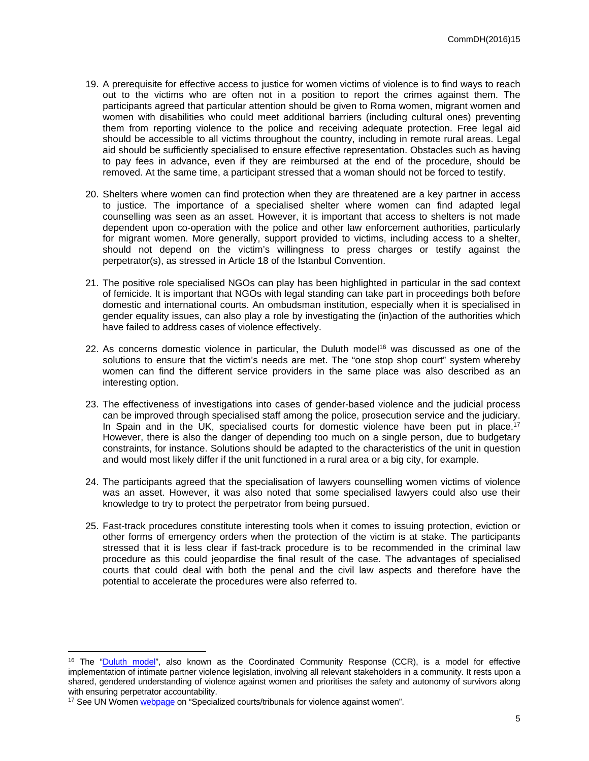- 19. A prerequisite for effective access to justice for women victims of violence is to find ways to reach out to the victims who are often not in a position to report the crimes against them. The participants agreed that particular attention should be given to Roma women, migrant women and women with disabilities who could meet additional barriers (including cultural ones) preventing them from reporting violence to the police and receiving adequate protection. Free legal aid should be accessible to all victims throughout the country, including in remote rural areas. Legal aid should be sufficiently specialised to ensure effective representation. Obstacles such as having to pay fees in advance, even if they are reimbursed at the end of the procedure, should be removed. At the same time, a participant stressed that a woman should not be forced to testify.
- 20. Shelters where women can find protection when they are threatened are a key partner in access to justice. The importance of a specialised shelter where women can find adapted legal counselling was seen as an asset. However, it is important that access to shelters is not made dependent upon co-operation with the police and other law enforcement authorities, particularly for migrant women. More generally, support provided to victims, including access to a shelter, should not depend on the victim's willingness to press charges or testify against the perpetrator(s), as stressed in Article 18 of the Istanbul Convention.
- 21. The positive role specialised NGOs can play has been highlighted in particular in the sad context of femicide. It is important that NGOs with legal standing can take part in proceedings both before domestic and international courts. An ombudsman institution, especially when it is specialised in gender equality issues, can also play a role by investigating the (in)action of the authorities which have failed to address cases of violence effectively.
- 22. As concerns domestic violence in particular, the Duluth model<sup>16</sup> was discussed as one of the solutions to ensure that the victim's needs are met. The "one stop shop court" system whereby women can find the different service providers in the same place was also described as an interesting option.
- 23. The effectiveness of investigations into cases of gender-based violence and the judicial process can be improved through specialised staff among the police, prosecution service and the judiciary. In Spain and in the UK, specialised courts for domestic violence have been put in place.<sup>17</sup> However, there is also the danger of depending too much on a single person, due to budgetary constraints, for instance. Solutions should be adapted to the characteristics of the unit in question and would most likely differ if the unit functioned in a rural area or a big city, for example.
- 24. The participants agreed that the specialisation of lawyers counselling women victims of violence was an asset. However, it was also noted that some specialised lawyers could also use their knowledge to try to protect the perpetrator from being pursued.
- 25. Fast-track procedures constitute interesting tools when it comes to issuing protection, eviction or other forms of emergency orders when the protection of the victim is at stake. The participants stressed that it is less clear if fast-track procedure is to be recommended in the criminal law procedure as this could jeopardise the final result of the case. The advantages of specialised courts that could deal with both the penal and the civil law aspects and therefore have the potential to accelerate the procedures were also referred to.

<sup>&</sup>lt;sup>16</sup> The "[Duluth model"](http://worldfuturecouncil.org/fileadmin/user_upload/Future_Policy_Award/FPA_2014/fpa2014_brochure_en_final.pdf), also known as the Coordinated Community Response (CCR), is a model for effective implementation of intimate partner violence legislation, involving all relevant stakeholders in a community. It rests upon a shared, gendered understanding of violence against women and prioritises the safety and autonomy of survivors along with ensuring perpetrator accountability.

<sup>&</sup>lt;sup>17</sup> See UN Women [webpage](http://www.endvawnow.org/en/articles/144-tribunaux-specialises-dans-les-affaires-de-violence-a-legard-des-femmes.html) on "Specialized courts/tribunals for violence against women".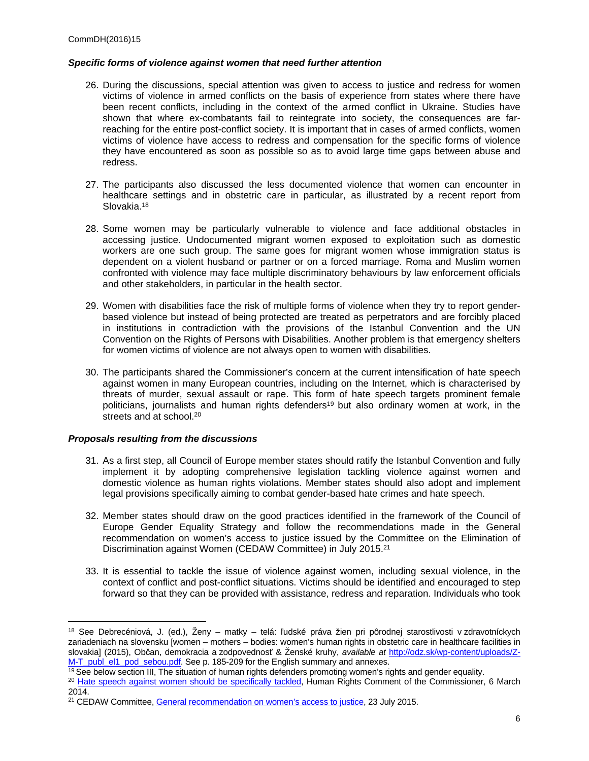### *Specific forms of violence against women that need further attention*

- 26. During the discussions, special attention was given to access to justice and redress for women victims of violence in armed conflicts on the basis of experience from states where there have been recent conflicts, including in the context of the armed conflict in Ukraine. Studies have shown that where ex-combatants fail to reintegrate into society, the consequences are farreaching for the entire post-conflict society. It is important that in cases of armed conflicts, women victims of violence have access to redress and compensation for the specific forms of violence they have encountered as soon as possible so as to avoid large time gaps between abuse and redress.
- 27. The participants also discussed the less documented violence that women can encounter in healthcare settings and in obstetric care in particular, as illustrated by a recent report from Slovakia.<sup>18</sup>
- 28. Some women may be particularly vulnerable to violence and face additional obstacles in accessing justice. Undocumented migrant women exposed to exploitation such as domestic workers are one such group. The same goes for migrant women whose immigration status is dependent on a violent husband or partner or on a forced marriage. Roma and Muslim women confronted with violence may face multiple discriminatory behaviours by law enforcement officials and other stakeholders, in particular in the health sector.
- 29. Women with disabilities face the risk of multiple forms of violence when they try to report genderbased violence but instead of being protected are treated as perpetrators and are forcibly placed in institutions in contradiction with the provisions of the Istanbul Convention and the UN Convention on the Rights of Persons with Disabilities. Another problem is that emergency shelters for women victims of violence are not always open to women with disabilities.
- 30. The participants shared the Commissioner's concern at the current intensification of hate speech against women in many European countries, including on the Internet, which is characterised by threats of murder, sexual assault or rape. This form of hate speech targets prominent female politicians, journalists and human rights defenders<sup>19</sup> but also ordinary women at work, in the streets and at school.<sup>20</sup>

## *Proposals resulting from the discussions*

- 31. As a first step, all Council of Europe member states should ratify the Istanbul Convention and fully implement it by adopting comprehensive legislation tackling violence against women and domestic violence as human rights violations. Member states should also adopt and implement legal provisions specifically aiming to combat gender-based hate crimes and hate speech.
- 32. Member states should draw on the good practices identified in the framework of the Council of Europe Gender Equality Strategy and follow the recommendations made in the General recommendation on women's access to justice issued by the Committee on the Elimination of Discrimination against Women (CEDAW Committee) in July 2015.<sup>21</sup>
- 33. It is essential to tackle the issue of violence against women, including sexual violence, in the context of conflict and post-conflict situations. Victims should be identified and encouraged to step forward so that they can be provided with assistance, redress and reparation. Individuals who took

<sup>18</sup> See Debrecéniová, J. (ed.), Ženy – matky – telá: ľudské práva žien pri pôrodnej starostlivosti v zdravotníckych zariadeniach na slovensku [women – mothers – bodies: women's human rights in obstetric care in healthcare facilities in slovakia] (2015), Občan, demokracia a zodpovednosť & Ženské kruhy, *available at* [http://odz.sk/wp-content/uploads/Z-](http://odz.sk/wp-content/uploads/Z-M-T_publ_el1_pod_sebou.pdf)[M-T\\_publ\\_el1\\_pod\\_sebou.pdf.](http://odz.sk/wp-content/uploads/Z-M-T_publ_el1_pod_sebou.pdf) See p. 185-209 for the English summary and annexes.

<sup>&</sup>lt;sup>19</sup> See below section III, The situation of human rights defenders promoting women's rights and gender equality.

<sup>&</sup>lt;sup>20</sup> [Hate speech against women should be specifically tackled](http://www.coe.int/en/web/commissioner/-/hate-speech-against-women-should-be-specifically-tackl-1?inheritRedirect=true&redirect=%2Fen%2Fweb%2Fcommissioner%2Fblog-2014), Human Rights Comment of the Commissioner, 6 March 2014.

<sup>&</sup>lt;sup>21</sup> CEDAW Committee, [General recommendation on women's access to justice](http://tbinternet.ohchr.org/Treaties/CEDAW/Shared%20Documents/1_Global/CEDAW_C_GC_33_7767_E.pdf), 23 July 2015.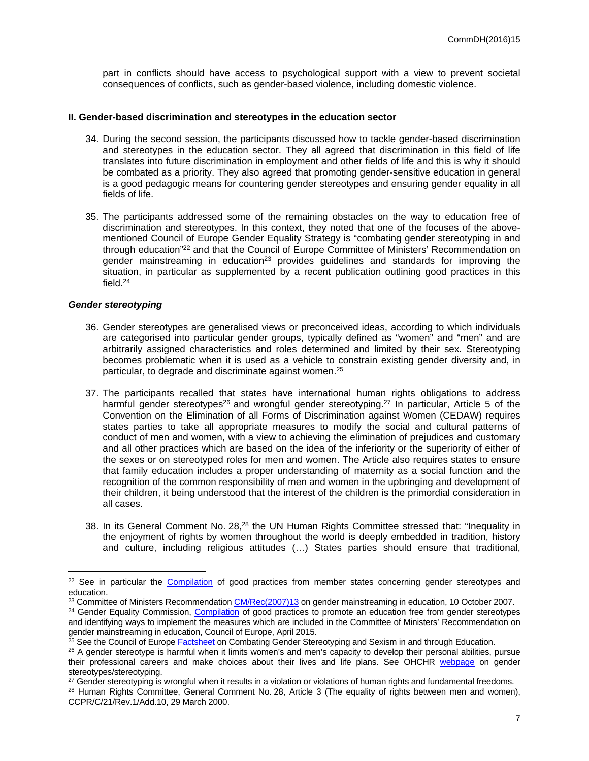part in conflicts should have access to psychological support with a view to prevent societal consequences of conflicts, such as gender-based violence, including domestic violence.

#### **II. Gender-based discrimination and stereotypes in the education sector**

- 34. During the second session, the participants discussed how to tackle gender-based discrimination and stereotypes in the education sector. They all agreed that discrimination in this field of life translates into future discrimination in employment and other fields of life and this is why it should be combated as a priority. They also agreed that promoting gender-sensitive education in general is a good pedagogic means for countering gender stereotypes and ensuring gender equality in all fields of life.
- 35. The participants addressed some of the remaining obstacles on the way to education free of discrimination and stereotypes. In this context, they noted that one of the focuses of the abovementioned Council of Europe Gender Equality Strategy is "combating gender stereotyping in and through education"<sup>22</sup> and that the Council of Europe Committee of Ministers' Recommendation on gender mainstreaming in education<sup>23</sup> provides guidelines and standards for improving the situation, in particular as supplemented by a recent publication outlining good practices in this field.<sup>24</sup>

#### *Gender stereotyping*

- 36. Gender stereotypes are generalised views or preconceived ideas, according to which individuals are categorised into particular gender groups, typically defined as "women" and "men" and are arbitrarily assigned characteristics and roles determined and limited by their sex. Stereotyping becomes problematic when it is used as a vehicle to constrain existing gender diversity and, in particular, to degrade and discriminate against women.<sup>25</sup>
- 37. The participants recalled that states have international human rights obligations to address harmful gender stereotypes<sup>26</sup> and wrongful gender stereotyping.<sup>27</sup> In particular, Article 5 of the Convention on the Elimination of all Forms of Discrimination against Women (CEDAW) requires states parties to take all appropriate measures to modify the social and cultural patterns of conduct of men and women, with a view to achieving the elimination of prejudices and customary and all other practices which are based on the idea of the inferiority or the superiority of either of the sexes or on stereotyped roles for men and women. The Article also requires states to ensure that family education includes a proper understanding of maternity as a social function and the recognition of the common responsibility of men and women in the upbringing and development of their children, it being understood that the interest of the children is the primordial consideration in all cases.
- 38. In its General Comment No. 28,<sup>28</sup> the UN Human Rights Committee stressed that: "Inequality in the enjoyment of rights by women throughout the world is deeply embedded in tradition, history and culture, including religious attitudes (…) States parties should ensure that traditional,

<sup>&</sup>lt;sup>22</sup> See in particular the [Compilation](http://www.coe.int/t/dghl/standardsetting/equality/05conferences/2014NFPHelsinki/Documents/Revised%20ENG%20Good%20practices%20Education%2016.1.2015.pdf) of good practices from member states concerning gender stereotypes and education.

<sup>&</sup>lt;sup>23</sup> Committee of Ministers Recommendation [CM/Rec\(2007\)13](https://wcd.coe.int/ViewDoc.jsp?id=1194631&Site=CM) on gender mainstreaming in education, 10 October 2007.

<sup>&</sup>lt;sup>24</sup> Gender Equality Commission, [Compilation](http://www.coe.int/t/dghl/standardsetting/equality/05conferences/2014NFPHelsinki/Documents/Compilation%20of%20good%20practices%20to%20promote%20an%20education%20free%20from%20gender%20stereotypes%20REVISED.pdf) of good practices to promote an education free from gender stereotypes and identifying ways to implement the measures which are included in the Committee of Ministers' Recommendation on gender mainstreaming in education, Council of Europe, April 2015.

<sup>&</sup>lt;sup>25</sup> See the Council of Europe [Factsheet](http://www.coe.int/t/dghl/standardsetting/equality/02factsheets/Education%20Fact%20Sheet%20English.pdf) on Combating Gender Stereotyping and Sexism in and through Education.

<sup>&</sup>lt;sup>26</sup> A gender stereotype is harmful when it limits women's and men's capacity to develop their personal abilities, pursue their professional careers and make choices about their lives and life plans. See OHCHR [webpage](http://www.ohchr.org/EN/Issues/Women/WRGS/Pages/GenderStereotypes.aspx) on gender stereotypes/stereotyping.

<sup>&</sup>lt;sup>27</sup> Gender stereotyping is wrongful when it results in a violation or violations of human rights and fundamental freedoms.

<sup>28</sup> Human Rights Committee, General Comment No. 28, Article 3 (The equality of rights between men and women), CCPR/C/21/Rev.1/Add.10, 29 March 2000.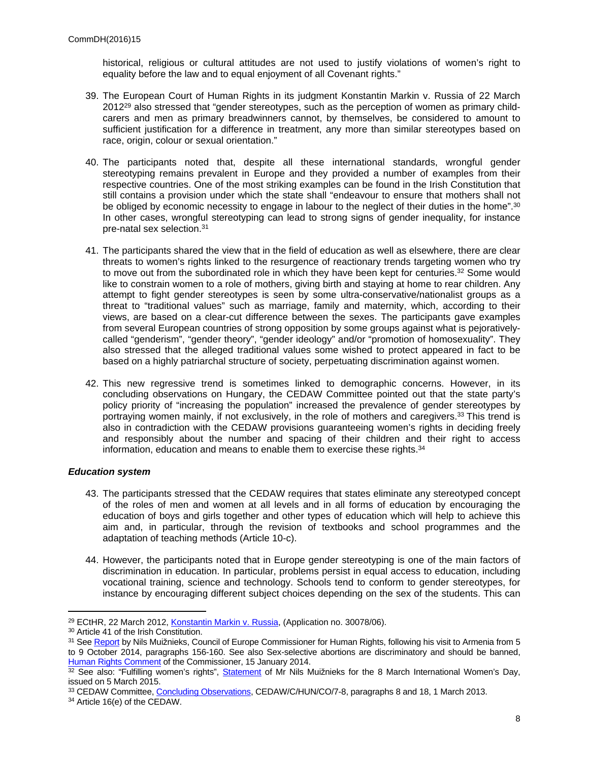historical, religious or cultural attitudes are not used to justify violations of women's right to equality before the law and to equal enjoyment of all Covenant rights."

- 39. The European Court of Human Rights in its judgment Konstantin Markin v. Russia of 22 March 201229 also stressed that "gender stereotypes, such as the perception of women as primary childcarers and men as primary breadwinners cannot, by themselves, be considered to amount to sufficient justification for a difference in treatment, any more than similar stereotypes based on race, origin, colour or sexual orientation."
- 40. The participants noted that, despite all these international standards, wrongful gender stereotyping remains prevalent in Europe and they provided a number of examples from their respective countries. One of the most striking examples can be found in the Irish Constitution that still contains a provision under which the state shall "endeavour to ensure that mothers shall not be obliged by economic necessity to engage in labour to the neglect of their duties in the home".<sup>30</sup> In other cases, wrongful stereotyping can lead to strong signs of gender inequality, for instance pre-natal sex selection.<sup>31</sup>
- 41. The participants shared the view that in the field of education as well as elsewhere, there are clear threats to women's rights linked to the resurgence of reactionary trends targeting women who try to move out from the subordinated role in which they have been kept for centuries.<sup>32</sup> Some would like to constrain women to a role of mothers, giving birth and staying at home to rear children. Any attempt to fight gender stereotypes is seen by some ultra-conservative/nationalist groups as a threat to "traditional values" such as marriage, family and maternity, which, according to their views, are based on a clear-cut difference between the sexes. The participants gave examples from several European countries of strong opposition by some groups against what is pejorativelycalled "genderism", "gender theory", "gender ideology" and/or "promotion of homosexuality". They also stressed that the alleged traditional values some wished to protect appeared in fact to be based on a highly patriarchal structure of society, perpetuating discrimination against women.
- 42. This new regressive trend is sometimes linked to demographic concerns. However, in its concluding observations on Hungary, the CEDAW Committee pointed out that the state party's policy priority of "increasing the population" increased the prevalence of gender stereotypes by portraying women mainly, if not exclusively, in the role of mothers and caregivers.<sup>33</sup> This trend is also in contradiction with the CEDAW provisions guaranteeing women's rights in deciding freely and responsibly about the number and spacing of their children and their right to access information, education and means to enable them to exercise these rights.<sup>34</sup>

## *Education system*

- 43. The participants stressed that the CEDAW requires that states eliminate any stereotyped concept of the roles of men and women at all levels and in all forms of education by encouraging the education of boys and girls together and other types of education which will help to achieve this aim and, in particular, through the revision of textbooks and school programmes and the adaptation of teaching methods (Article 10-c).
- 44. However, the participants noted that in Europe gender stereotyping is one of the main factors of discrimination in education. In particular, problems persist in equal access to education, including vocational training, science and technology. Schools tend to conform to gender stereotypes, for instance by encouraging different subject choices depending on the sex of the students. This can

<sup>29</sup> ECtHR, 22 March 2012, [Konstantin Markin v. Russia](http://hudoc.echr.coe.int/eng?i=001-109868), (Application no. 30078/06).

<sup>30</sup> Article 41 of the Irish Constitution.

<sup>&</sup>lt;sup>31</sup> See [Report](https://wcd.coe.int/com.instranet.InstraServlet?Index=no&command=com.instranet.CmdBlobGet&InstranetImage=2790589&SecMode=1&DocId=2243332&Usage=2) by Nils Muižnieks, Council of Europe Commissioner for Human Rights, following his visit to Armenia from 5 to 9 October 2014, paragraphs 156-160. See also Sex-selective abortions are discriminatory and should be banned, [Human Rights Comment](http://www.coe.int/en/web/commissioner/-/sex-selective-abortions-are-discriminatory-and-should-be-bann-1?inheritRedirect=true&redirect=%2Fen%2Fweb%2Fcommissioner%2Fblog-2014) of the Commissioner, 15 January 2014.

<sup>32</sup> See also: "Fulfilling women's rights", [Statement](http://www.coe.int/en/web/commissioner/-/fulfilling-women-s-rights) of Mr Nils Muižnieks for the 8 March International Women's Day, issued on 5 March 2015.

<sup>33</sup> CEDAW Committee, [Concluding Observations,](http://tbinternet.ohchr.org/_layouts/treatybodyexternal/Download.aspx?symbolno=CEDAW%2fC%2fHUN%2fCO%2f7-8&Lang=en) CEDAW/C/HUN/CO/7-8, paragraphs 8 and 18, 1 March 2013. 34 Article 16(e) of the CEDAW.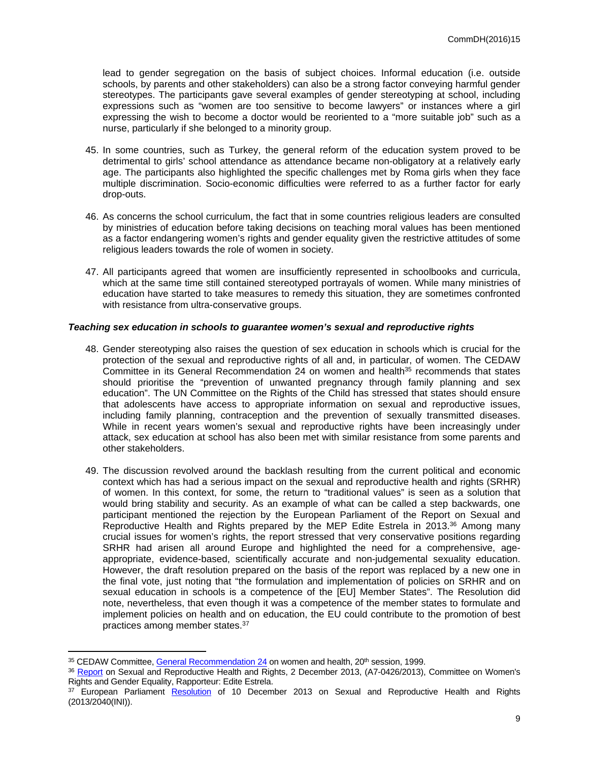lead to gender segregation on the basis of subject choices. Informal education (i.e. outside schools, by parents and other stakeholders) can also be a strong factor conveying harmful gender stereotypes. The participants gave several examples of gender stereotyping at school, including expressions such as "women are too sensitive to become lawyers" or instances where a girl expressing the wish to become a doctor would be reoriented to a "more suitable job" such as a nurse, particularly if she belonged to a minority group.

- 45. In some countries, such as Turkey, the general reform of the education system proved to be detrimental to girls' school attendance as attendance became non-obligatory at a relatively early age. The participants also highlighted the specific challenges met by Roma girls when they face multiple discrimination. Socio-economic difficulties were referred to as a further factor for early drop-outs.
- 46. As concerns the school curriculum, the fact that in some countries religious leaders are consulted by ministries of education before taking decisions on teaching moral values has been mentioned as a factor endangering women's rights and gender equality given the restrictive attitudes of some religious leaders towards the role of women in society.
- 47. All participants agreed that women are insufficiently represented in schoolbooks and curricula, which at the same time still contained stereotyped portrayals of women. While many ministries of education have started to take measures to remedy this situation, they are sometimes confronted with resistance from ultra-conservative groups.

#### *Teaching sex education in schools to guarantee women's sexual and reproductive rights*

- 48. Gender stereotyping also raises the question of sex education in schools which is crucial for the protection of the sexual and reproductive rights of all and, in particular, of women. The CEDAW Committee in its General Recommendation 24 on women and health<sup>35</sup> recommends that states should prioritise the "prevention of unwanted pregnancy through family planning and sex education". The UN Committee on the Rights of the Child has stressed that states should ensure that adolescents have access to appropriate information on sexual and reproductive issues, including family planning, contraception and the prevention of sexually transmitted diseases. While in recent years women's sexual and reproductive rights have been increasingly under attack, sex education at school has also been met with similar resistance from some parents and other stakeholders.
- 49. The discussion revolved around the backlash resulting from the current political and economic context which has had a serious impact on the sexual and reproductive health and rights (SRHR) of women. In this context, for some, the return to "traditional values" is seen as a solution that would bring stability and security. As an example of what can be called a step backwards, one participant mentioned the rejection by the European Parliament of the Report on Sexual and Reproductive Health and Rights prepared by the MEP Edite Estrela in 2013.<sup>36</sup> Among many crucial issues for women's rights, the report stressed that very conservative positions regarding SRHR had arisen all around Europe and highlighted the need for a comprehensive, ageappropriate, evidence-based, scientifically accurate and non-judgemental sexuality education. However, the draft resolution prepared on the basis of the report was replaced by a new one in the final vote, just noting that "the formulation and implementation of policies on SRHR and on sexual education in schools is a competence of the [EU] Member States". The Resolution did note, nevertheless, that even though it was a competence of the member states to formulate and implement policies on health and on education, the EU could contribute to the promotion of best practices among member states.<sup>37</sup>

<sup>35</sup> CEDAW Committee, [General Recommendation 24](http://www.un.org/womenwatch/daw/cedaw/recommendations/recomm.htm#recom24) on women and health, 20<sup>th</sup> session, 1999.

<sup>36</sup> [Report](http://www.europarl.europa.eu/sides/getDoc.do?pubRef=-//EP//TEXT+REPORT+A7-2013-0426+0+DOC+XML+V0//EN) on Sexual and Reproductive Health and Rights, 2 December 2013, (A7-0426/2013), Committee on Women's Rights and Gender Equality, Rapporteur: Edite Estrela.

<sup>&</sup>lt;sup>37</sup> European Parliament [Resolution](http://www.europarl.europa.eu/sides/getDoc.do?type=TA&reference=P7-TA-2013-0548&language=EN&ring=A7-2013-0426) of 10 December 2013 on Sexual and Reproductive Health and Rights (2013/2040(INI)).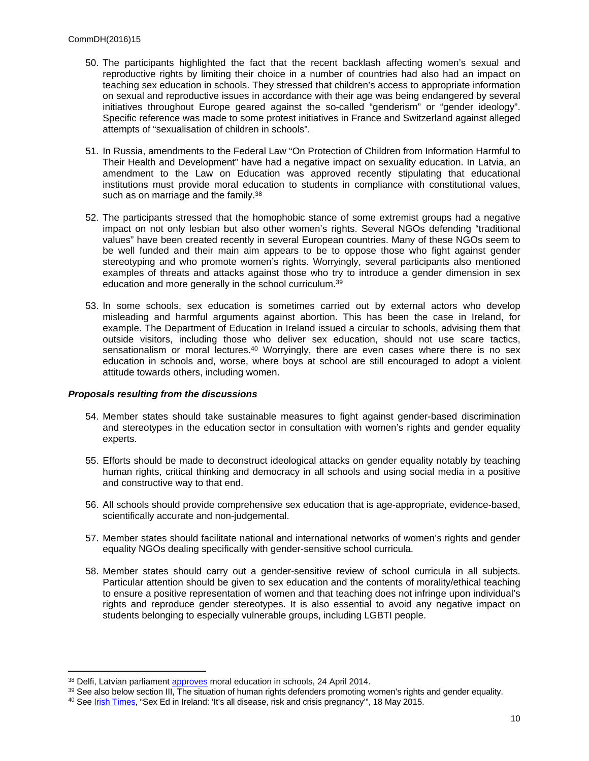- 50. The participants highlighted the fact that the recent backlash affecting women's sexual and reproductive rights by limiting their choice in a number of countries had also had an impact on teaching sex education in schools. They stressed that children's access to appropriate information on sexual and reproductive issues in accordance with their age was being endangered by several initiatives throughout Europe geared against the so-called "genderism" or "gender ideology". Specific reference was made to some protest initiatives in France and Switzerland against alleged attempts of "sexualisation of children in schools".
- 51. In Russia, amendments to the Federal Law "On Protection of Children from Information Harmful to Their Health and Development" have had a negative impact on sexuality education. In Latvia, an amendment to the Law on Education was approved recently stipulating that educational institutions must provide moral education to students in compliance with constitutional values, such as on marriage and the family.<sup>38</sup>
- 52. The participants stressed that the homophobic stance of some extremist groups had a negative impact on not only lesbian but also other women's rights. Several NGOs defending "traditional values" have been created recently in several European countries. Many of these NGOs seem to be well funded and their main aim appears to be to oppose those who fight against gender stereotyping and who promote women's rights. Worryingly, several participants also mentioned examples of threats and attacks against those who try to introduce a gender dimension in sex education and more generally in the school curriculum.<sup>39</sup>
- 53. In some schools, sex education is sometimes carried out by external actors who develop misleading and harmful arguments against abortion. This has been the case in Ireland, for example. The Department of Education in Ireland issued a circular to schools, advising them that outside visitors, including those who deliver sex education, should not use scare tactics, sensationalism or moral lectures.<sup>40</sup> Worryingly, there are even cases where there is no sex education in schools and, worse, where boys at school are still encouraged to adopt a violent attitude towards others, including women.

#### *Proposals resulting from the discussions*

- 54. Member states should take sustainable measures to fight against gender-based discrimination and stereotypes in the education sector in consultation with women's rights and gender equality experts.
- 55. Efforts should be made to deconstruct ideological attacks on gender equality notably by teaching human rights, critical thinking and democracy in all schools and using social media in a positive and constructive way to that end.
- 56. All schools should provide comprehensive sex education that is age-appropriate, evidence-based, scientifically accurate and non-judgemental.
- 57. Member states should facilitate national and international networks of women's rights and gender equality NGOs dealing specifically with gender-sensitive school curricula.
- 58. Member states should carry out a gender-sensitive review of school curricula in all subjects. Particular attention should be given to sex education and the contents of morality/ethical teaching to ensure a positive representation of women and that teaching does not infringe upon individual's rights and reproduce gender stereotypes. It is also essential to avoid any negative impact on students belonging to especially vulnerable groups, including LGBTI people.

<sup>&</sup>lt;sup>38</sup> Delfi, Latvian parliament **approves** moral education in schools, 24 April 2014.

<sup>&</sup>lt;sup>39</sup> See also below section III, The situation of human rights defenders promoting women's rights and gender equality.

<sup>&</sup>lt;sup>40</sup> See [Irish Times,](http://www.irishtimes.com/news/education/sex-ed-in-ireland-it-s-all-disease-risk-and-crisis-pregnancy-1.2212770) "Sex Ed in Ireland: 'It's all disease, risk and crisis pregnancy", 18 May 2015.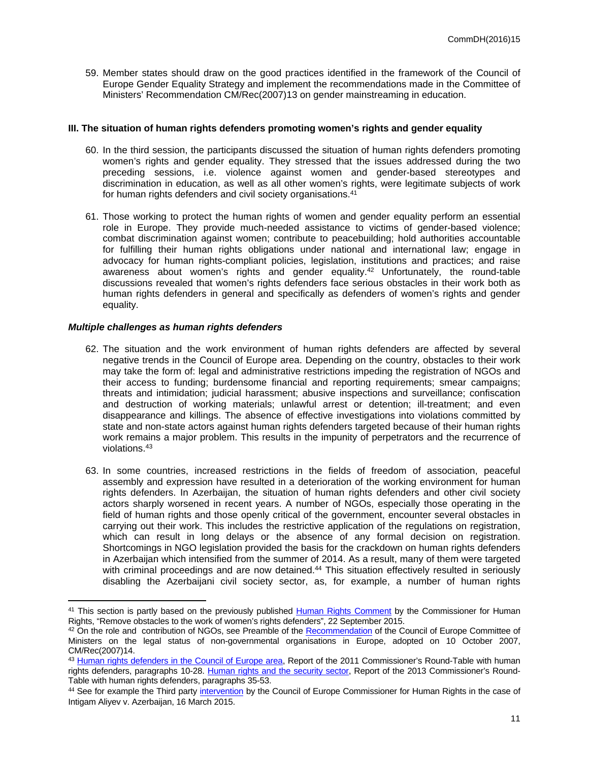59. Member states should draw on the good practices identified in the framework of the Council of Europe Gender Equality Strategy and implement the recommendations made in the Committee of Ministers' Recommendation [CM/Rec\(2007\)13](https://wcd.coe.int/ViewDoc.jsp?id=1194631&Site=CM) on gender mainstreaming in education.

### **III. The situation of human rights defenders promoting women's rights and gender equality**

- 60. In the third session, the participants discussed the situation of human rights defenders promoting women's rights and gender equality. They stressed that the issues addressed during the two preceding sessions, i.e. violence against women and gender-based stereotypes and discrimination in education, as well as all other women's rights, were legitimate subjects of work for human rights defenders and civil society organisations.<sup>41</sup>
- 61. Those working to protect the human rights of women and gender equality perform an essential role in Europe. They provide much-needed assistance to victims of gender-based violence; combat discrimination against women; contribute to peacebuilding; hold authorities accountable for fulfilling their human rights obligations under national and international law; engage in advocacy for human rights-compliant policies, legislation, institutions and practices; and raise awareness about women's rights and gender equality. $42$  Unfortunately, the round-table discussions revealed that women's rights defenders face serious obstacles in their work both as human rights defenders in general and specifically as defenders of women's rights and gender equality.

## *Multiple challenges as human rights defenders*

- 62. The situation and the work environment of human rights defenders are affected by several negative trends in the Council of Europe area. Depending on the country, obstacles to their work may take the form of: legal and administrative restrictions impeding the registration of NGOs and their access to funding; burdensome financial and reporting requirements; smear campaigns; threats and intimidation; judicial harassment; abusive inspections and surveillance; confiscation and destruction of working materials; unlawful arrest or detention; ill-treatment; and even disappearance and killings. The absence of effective investigations into violations committed by state and non-state actors against human rights defenders targeted because of their human rights work remains a major problem. This results in the impunity of perpetrators and the recurrence of violations.<sup>43</sup>
- 63. In some countries, increased restrictions in the fields of freedom of association, peaceful assembly and expression have resulted in a deterioration of the working environment for human rights defenders. In Azerbaijan, the situation of human rights defenders and other civil society actors sharply worsened in recent years. A number of NGOs, especially those operating in the field of human rights and those openly critical of the government, encounter several obstacles in carrying out their work. This includes the restrictive application of the regulations on registration, which can result in long delays or the absence of any formal decision on registration. Shortcomings in NGO legislation provided the basis for the crackdown on human rights defenders in Azerbaijan which intensified from the summer of 2014. As a result, many of them were targeted with criminal proceedings and are now detained.<sup>44</sup> This situation effectively resulted in seriously disabling the Azerbaijani civil society sector, as, for example, a number of human rights

<sup>&</sup>lt;sup>41</sup> This section is partly based on the previously published [Human Rights Comment](http://www.coe.int/en/web/commissioner/-/remove-obstacles-to-the-work-of-women-s-rights-defenders?inheritRedirect=true&redirect=%2Fen%2Fweb%2Fcommissioner%2Fhuman-rights-defenders) by the Commissioner for Human Rights, "Remove obstacles to the work of women's rights defenders", 22 September 2015.

<sup>42</sup> On the role and contribution of NGOs, see Preamble of the [Recommendation](https://wcd.coe.int/ViewDoc.jsp?id=1194609) of the Council of Europe Committee of Ministers on the legal status of non-governmental organisations in Europe, adopted on 10 October 2007, CM/Rec(2007)14.

<sup>43</sup> [Human rights defenders in the Council of Europe area,](https://wcd.coe.int/ViewDoc.jsp?Ref=CommDH%282012%2921&Language=lanEnglish) Report of the 2011 Commissioner's Round-Table with human rights defenders, paragraphs 10-28. [Human rights and the security sector,](https://wcd.coe.int/com.instranet.InstraServlet?command=com.instranet.CmdBlobGet&InstranetImage=2863399&SecMode=1&DocId=2342108&Usage=2) Report of the 2013 Commissioner's Round-Table with human rights defenders, paragraphs 35-53.

<sup>&</sup>lt;sup>44</sup> See for example the Third party [intervention](http://www.coe.int/en/web/commissioner/-/commissioner-muiznieks-intervenes-before-the-european-court-of-human-rights-on-the-case-of-intigam-aliyev?redirect=http://www.coe.int/en/web/commissioner/country-monitoring-azerbaijan?p_p_id=101_INSTANCE_RrDRPKESORE4&p_p_lifecycle=0&p_p_state=normal&p_p_mode=view&p_p_col_id=column-1&p_p_col_count=1) by the Council of Europe Commissioner for Human Rights in the case of Intigam Aliyev v. Azerbaijan, 16 March 2015.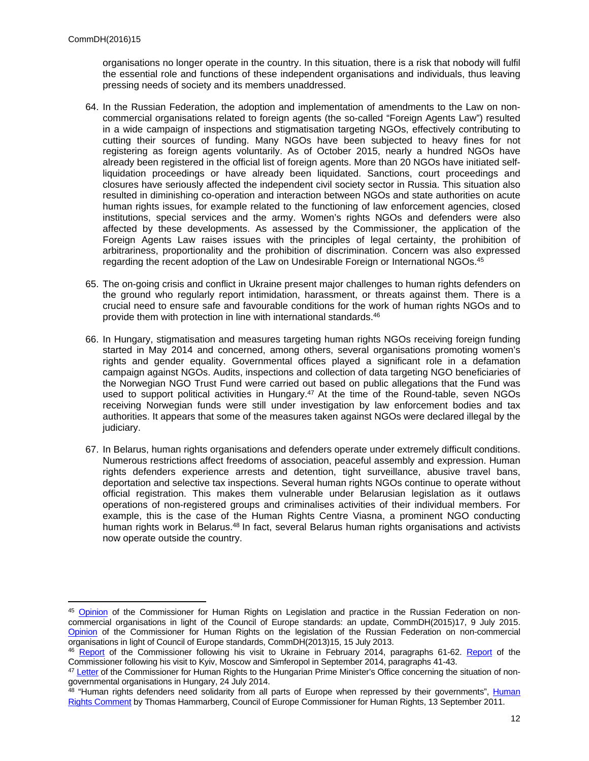organisations no longer operate in the country. In this situation, there is a risk that nobody will fulfil the essential role and functions of these independent organisations and individuals, thus leaving pressing needs of society and its members unaddressed.

- 64. In the Russian Federation, the adoption and implementation of amendments to the Law on noncommercial organisations related to foreign agents (the so-called "Foreign Agents Law") resulted in a wide campaign of inspections and stigmatisation targeting NGOs, effectively contributing to cutting their sources of funding. Many NGOs have been subjected to heavy fines for not registering as foreign agents voluntarily. As of October 2015, nearly a hundred NGOs have already been registered in the official list of foreign agents. More than 20 NGOs have initiated selfliquidation proceedings or have already been liquidated. Sanctions, court proceedings and closures have seriously affected the independent civil society sector in Russia. This situation also resulted in diminishing co-operation and interaction between NGOs and state authorities on acute human rights issues, for example related to the functioning of law enforcement agencies, closed institutions, special services and the army. Women's rights NGOs and defenders were also affected by these developments. As assessed by the Commissioner, the application of the Foreign Agents Law raises issues with the principles of legal certainty, the prohibition of arbitrariness, proportionality and the prohibition of discrimination. Concern was also expressed regarding the recent adoption of the Law on Undesirable Foreign or International NGOs.<sup>45</sup>
- 65. The on-going crisis and conflict in Ukraine present major challenges to human rights defenders on the ground who regularly report intimidation, harassment, or threats against them. There is a crucial need to ensure safe and favourable conditions for the work of human rights NGOs and to provide them with protection in line with international standards.<sup>46</sup>
- 66. In Hungary, stigmatisation and measures targeting human rights NGOs receiving foreign funding started in May 2014 and concerned, among others, several organisations promoting women's rights and gender equality. Governmental offices played a significant role in a defamation campaign against NGOs. Audits, inspections and collection of data targeting NGO beneficiaries of the Norwegian NGO Trust Fund were carried out based on public allegations that the Fund was used to support political activities in Hungary. $47$  At the time of the Round-table, seven NGOs receiving Norwegian funds were still under investigation by law enforcement bodies and tax authorities. It appears that some of the measures taken against NGOs were declared illegal by the judiciary.
- 67. In Belarus, human rights organisations and defenders operate under extremely difficult conditions. Numerous restrictions affect freedoms of association, peaceful assembly and expression. Human rights defenders experience arrests and detention, tight surveillance, abusive travel bans, deportation and selective tax inspections. Several human rights NGOs continue to operate without official registration. This makes them vulnerable under Belarusian legislation as it outlaws operations of non-registered groups and criminalises activities of their individual members. For example, this is the case of the Human Rights Centre Viasna, a prominent NGO conducting human rights work in Belarus.<sup>48</sup> In fact, several Belarus human rights organisations and activists now operate outside the country.

<sup>45</sup> [Opinion](http://www.coe.int/en/web/commissioner/country-report/russian-federation/-/asset_publisher/B0bLQuQxf9V7/content/council-of-europe-commissioner-for-human-rights-reiterates-his-call-to-bring-russian-ngo-legislation-in-line-with-european-standards?inheritRedirect=false&redirect=http%3A%2F%2Fwww.coe.int%2Fen%2Fweb%2Fcommissioner%2Fcountry-report%2Frussian-federation%3Fp_p_id%3D101_INSTANCE_B0bLQuQxf9V7%26p_p_lifecycle%3D0%26p_p_state%3Dnormal%26p_p_mode%3Dview%26p_p_col_id%3Dcolumn-1%26p_p_col_pos%3D1%26p_p_col_count%3D2) of the Commissioner for Human Rights on Legislation and practice in the Russian Federation on noncommercial organisations in light of the Council of Europe standards: an update, CommDH(2015)17, 9 July 2015. [Opinion](http://www.coe.int/en/web/commissioner/country-report/russian-federation/-/asset_publisher/B0bLQuQxf9V7/content/russia-legislation-and-practice-on-ngos-should-be-revised?inheritRedirect=false&redirect=http%3A%2F%2Fwww.coe.int%2Fen%2Fweb%2Fcommissioner%2Fcountry-report%2Frussian-federation%3Fp_p_id%3D101_INSTANCE_B0bLQuQxf9V7%26p_p_lifecycle%3D0%26p_p_state%3Dnormal%26p_p_mode%3Dview%26p_p_col_id%3Dcolumn-1%26p_p_col_pos%3D1%26p_p_col_count%3D2) of the Commissioner for Human Rights on the legislation of the Russian Federation on non-commercial organisations in light of Council of Europe standards, CommDH(2013)15, 15 July 2013.

<sup>46</sup> [Report](http://www.coe.int/en/web/commissioner/country-report/ukraine/-/asset_publisher/PwOwYulLuc5b/content/in-crimea-serious-human-rights-violations-and-attacks-on-minorities-and-journalists-require-urgent-action?inheritRedirect=false&redirect=http%3A%2F%2Fwww.coe.int%2Fen%2Fweb%2Fcommissioner%2Fcountry-report%2Fukraine%3Fp_p_id%3D101_INSTANCE_PwOwYulLuc5b%26p_p_lifecycle%3D0%26p_p_state%3Dnormal%26p_p_mode%3Dview%26p_p_col_id%3Dcolumn-1%26p_p_col_pos%3D1%26p_p_col_count%3D2%26_101_INSTANCE_PwOwYulLuc5b_advancedSearch%3Dfalse%26_101_INSTANCE_PwOwYulLuc5b_keywords%3D%26_101_INSTANCE_PwOwYulLuc5b_delta%3D10%26p_r_p_564233524_resetCur%3Dfalse%26_101_INSTANCE_PwOwYulLuc5b_cur%3D1%26_101_INSTANCE_PwOwYulLuc5b_andOperator%3Dtrue) of the Commissioner following his visit to Ukraine in February 2014, paragraphs 61-62. Report of the Commissioner following his visit to Kyiv, Moscow and Simferopol in September 2014, paragraphs 41-43.

<sup>47</sup> [Letter](http://www.coe.int/en/web/commissioner/country-report/hungary/-/asset_publisher/hKTqZqCwoY6P/content/commissioner-expresses-concern-over-ngos-in-hungary?inheritRedirect=false&redirect=http%3A%2F%2Fwww.coe.int%2Fen%2Fweb%2Fcommissioner%2Fcountry-report%2Fhungary%3Fp_p_id%3D101_INSTANCE_hKTqZqCwoY6P%26p_p_lifecycle%3D0%26p_p_state%3Dnormal%26p_p_mode%3Dview%26p_p_col_id%3Dcolumn-1%26p_p_col_pos%3D1%26p_p_col_count%3D2) of the Commissioner for Human Rights to the Hungarian Prime Minister's Office concerning the situation of nongovernmental organisations in Hungary, 24 July 2014.

<sup>&</sup>lt;sup>48</sup> "[Human](http://www.coe.int/en/web/commissioner/-/human-rights-defenders-need-solidarity-from-all-parts-of-europe-when-repressed-by-their-governments?inheritRedirect=true&redirect=%2Fen%2Fweb%2Fcommissioner%2Fhuman-rights-defenders%3Fp_p_id%3D101_INSTANCE_R6bJbw0zJcCl%26p_p_lifecycle%3D0%26p_p_state%3Dnormal%26p_p_mode%3Dview%26p_p_col_id%3Dcolumn-4%26p_p_col_pos%3D1%26p_p_col_count%3D3%26_101_INSTANCE_R6bJbw0zJcCl_delta%3D3%26_101_INSTANCE_R6bJbw0zJcCl_keywords%3D%26_101_INSTANCE_R6bJbw0zJcCl_advancedSearch%3Dfalse%26_101_INSTANCE_R6bJbw0zJcCl_andOperator%3Dtrue%26p_r_p_564233524_resetCur%3Dfalse%26_101_INSTANCE_R6bJbw0zJcCl_cur%3D2) rights defenders need solidarity from all parts of Europe when repressed by their governments", Human [Rights Comment](http://www.coe.int/en/web/commissioner/-/human-rights-defenders-need-solidarity-from-all-parts-of-europe-when-repressed-by-their-governments?inheritRedirect=true&redirect=%2Fen%2Fweb%2Fcommissioner%2Fhuman-rights-defenders%3Fp_p_id%3D101_INSTANCE_R6bJbw0zJcCl%26p_p_lifecycle%3D0%26p_p_state%3Dnormal%26p_p_mode%3Dview%26p_p_col_id%3Dcolumn-4%26p_p_col_pos%3D1%26p_p_col_count%3D3%26_101_INSTANCE_R6bJbw0zJcCl_delta%3D3%26_101_INSTANCE_R6bJbw0zJcCl_keywords%3D%26_101_INSTANCE_R6bJbw0zJcCl_advancedSearch%3Dfalse%26_101_INSTANCE_R6bJbw0zJcCl_andOperator%3Dtrue%26p_r_p_564233524_resetCur%3Dfalse%26_101_INSTANCE_R6bJbw0zJcCl_cur%3D2) by Thomas Hammarberg, Council of Europe Commissioner for Human Rights, 13 September 2011.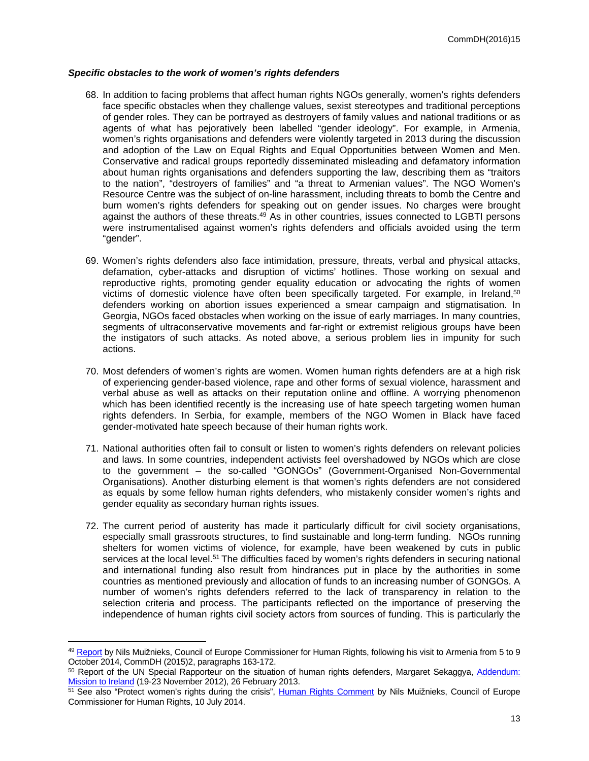#### *Specific obstacles to the work of women's rights defenders*

- 68. In addition to facing problems that affect human rights NGOs generally, women's rights defenders face specific obstacles when they challenge values, sexist stereotypes and traditional perceptions of gender roles. They can be portrayed as destroyers of family values and national traditions or as agents of what has pejoratively been labelled "gender ideology". For example, in Armenia, women's rights organisations and defenders were violently targeted in 2013 during the discussion and adoption of the Law on Equal Rights and Equal Opportunities between Women and Men. Conservative and radical groups reportedly disseminated misleading and defamatory information about human rights organisations and defenders supporting the law, describing them as "traitors to the nation", "destroyers of families" and "a threat to Armenian values". The NGO Women's Resource Centre was the subject of on-line harassment, including threats to bomb the Centre and burn women's rights defenders for speaking out on gender issues. No charges were brought against the authors of these threats.<sup>49</sup> As in other countries, issues connected to LGBTI persons were instrumentalised against women's rights defenders and officials avoided using the term "gender".
- 69. Women's rights defenders also face intimidation, pressure, threats, verbal and physical attacks, defamation, cyber-attacks and disruption of victims' hotlines. Those working on sexual and reproductive rights, promoting gender equality education or advocating the rights of women victims of domestic violence have often been specifically targeted. For example, in Ireland,<sup>50</sup> defenders working on abortion issues experienced a smear campaign and stigmatisation. In Georgia, NGOs faced obstacles when working on the issue of early marriages. In many countries, segments of ultraconservative movements and far-right or extremist religious groups have been the instigators of such attacks. As noted above, a serious problem lies in impunity for such actions.
- 70. Most defenders of women's rights are women. Women human rights defenders are at a high risk of experiencing gender-based violence, rape and other forms of sexual violence, harassment and verbal abuse as well as attacks on their reputation online and offline. A worrying phenomenon which has been identified recently is the increasing use of hate speech targeting women human rights defenders. In Serbia, for example, members of the NGO Women in Black have faced gender-motivated hate speech because of their human rights work.
- 71. National authorities often fail to consult or listen to women's rights defenders on relevant policies and laws. In some countries, independent activists feel overshadowed by NGOs which are close to the government – the so-called "GONGOs" (Government-Organised Non-Governmental Organisations). Another disturbing element is that women's rights defenders are not considered as equals by some fellow human rights defenders, who mistakenly consider women's rights and gender equality as secondary human rights issues.
- 72. The current period of austerity has made it particularly difficult for civil society organisations, especially small grassroots structures, to find sustainable and long-term funding. NGOs running shelters for women victims of violence, for example, have been weakened by cuts in public services at the local level.<sup>51</sup> The difficulties faced by women's rights defenders in securing national and international funding also result from hindrances put in place by the authorities in some countries as mentioned previously and allocation of funds to an increasing number of GONGOs. A number of women's rights defenders referred to the lack of transparency in relation to the selection criteria and process. The participants reflected on the importance of preserving the independence of human rights civil society actors from sources of funding. This is particularly the

<sup>49</sup> [Report](http://www.coe.int/en/web/commissioner/country-monitoring-armenia/-/asset_publisher/zH7uKF3Azc4O/content/armenia-should-intensify-its-efforts-to-ensure-gender-equality-and-protect-human-rights-in-the-justice-system?inheritRedirect=false&redirect=http%3A%2F%2Fwww.coe.int%2Fen%2Fweb%2Fcommissioner%2Fcountry-monitoring-armenia%3Fp_p_id%3D101_INSTANCE_zH7uKF3Azc4O%26p_p_lifecycle%3D0%26p_p_state%3Dnormal%26p_p_mode%3Dview%26p_p_col_id%3Dcolumn-1%26p_p_col_pos%3D1%26p_p_col_count%3D2) by Nils Muižnieks, Council of Europe Commissioner for Human Rights, following his visit to Armenia from 5 to 9 October 2014, CommDH (2015)2, paragraphs 163-172.

<sup>50</sup> Report of the UN Special Rapporteur on the situation of human rights defenders, Margaret Sekaggya, Addendum: [Mission to Ireland](http://www.ohchr.org/Documents/HRBodies/HRCouncil/RegularSession/Session22/A-HRC-22-47-Add-3_en.pdf) (19-23 November 2012), 26 February 2013.

<sup>51</sup> See also "Protect women's rights during the crisis", [Human Rights Comment](http://www.coe.int/en/web/commissioner/-/protect-women-s-rights-during-the-crisis) by Nils Muižnieks, Council of Europe Commissioner for Human Rights, 10 July 2014.